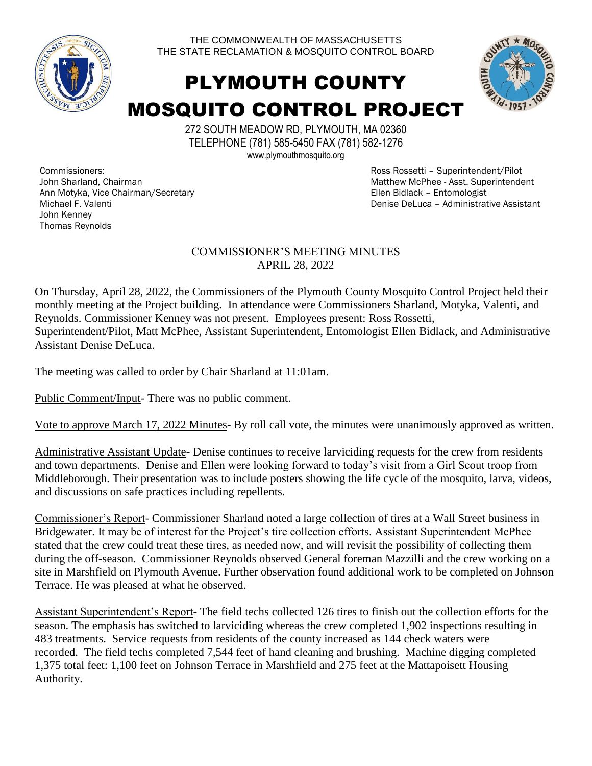

THE COMMONWEALTH OF MASSACHUSETTS THE STATE RECLAMATION & MOSQUITO CONTROL BOARD

## PLYMOUTH COUNTY MOSQUITO CONTROL PROJECT



272 SOUTH MEADOW RD, PLYMOUTH, MA 02360 TELEPHONE (781) 585-5450 FAX (781) 582-1276 www.plymouthmosquito.org

Commissioners: John Sharland, Chairman Ann Motyka, Vice Chairman/Secretary Michael F. Valenti John Kenney Thomas Reynolds

Ross Rossetti – Superintendent/Pilot Matthew McPhee - Asst. Superintendent Ellen Bidlack – Entomologist Denise DeLuca – Administrative Assistant

## COMMISSIONER'S MEETING MINUTES APRIL 28, 2022

On Thursday, April 28, 2022, the Commissioners of the Plymouth County Mosquito Control Project held their monthly meeting at the Project building. In attendance were Commissioners Sharland, Motyka, Valenti, and Reynolds. Commissioner Kenney was not present. Employees present: Ross Rossetti, Superintendent/Pilot, Matt McPhee, Assistant Superintendent, Entomologist Ellen Bidlack, and Administrative Assistant Denise DeLuca.

The meeting was called to order by Chair Sharland at 11:01am.

Public Comment/Input- There was no public comment.

Vote to approve March 17, 2022 Minutes- By roll call vote, the minutes were unanimously approved as written.

Administrative Assistant Update- Denise continues to receive larviciding requests for the crew from residents and town departments. Denise and Ellen were looking forward to today's visit from a Girl Scout troop from Middleborough. Their presentation was to include posters showing the life cycle of the mosquito, larva, videos, and discussions on safe practices including repellents.

Commissioner's Report- Commissioner Sharland noted a large collection of tires at a Wall Street business in Bridgewater. It may be of interest for the Project's tire collection efforts. Assistant Superintendent McPhee stated that the crew could treat these tires, as needed now, and will revisit the possibility of collecting them during the off-season. Commissioner Reynolds observed General foreman Mazzilli and the crew working on a site in Marshfield on Plymouth Avenue. Further observation found additional work to be completed on Johnson Terrace. He was pleased at what he observed.

Assistant Superintendent's Report- The field techs collected 126 tires to finish out the collection efforts for the season. The emphasis has switched to larviciding whereas the crew completed 1,902 inspections resulting in 483 treatments. Service requests from residents of the county increased as 144 check waters were recorded. The field techs completed 7,544 feet of hand cleaning and brushing. Machine digging completed 1,375 total feet: 1,100 feet on Johnson Terrace in Marshfield and 275 feet at the Mattapoisett Housing Authority.